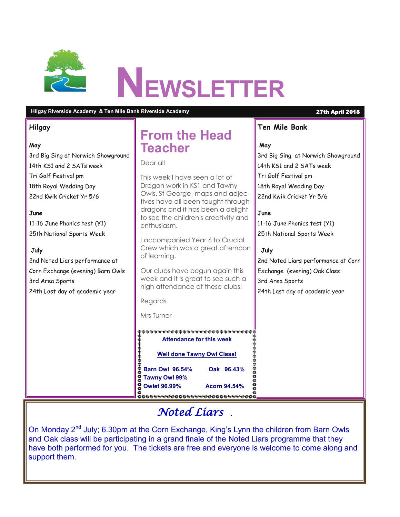

#### **Hilgay Riverside Academy & Ten Mile Bank Riverside Academy** 27th April 2018

#### **Hilgay**

#### **May**

3rd Big Sing at Norwich Showground 14th KS1 and 2 SATs week Tri Golf Festival pm 18th Royal Wedding Day 22nd Kwik Cricket Yr 5/6

#### **June**

11-16 June Phonics test (Y1) 25th National Sports Week

#### **July**

2nd Noted Liars performance at Corn Exchange (evening) Barn Owls 3rd Area Sports 24th Last day of academic year

# **From the Head Teacher**

Dear all

This week I have seen a lot of Dragon work in KS1 and Tawny Owls. St George, maps and adjectives have all been taught through dragons and it has been a delight to see the children's creativity and enthusiasm.

I accompanied Year 6 to Crucial Crew which was a great afternoon of learning.

Our clubs have begun again this week and it is great to see such a high attendance at these clubs!

Regards

Mrs Turner

 **Attendance for this week Well done Tawny Owl Class! Barn Owl 96.54% Oak 96.43% Tawny Owl 99% Owlet 96.99% Acorn 94.54%**

### **Ten Mile Bank**

#### **May**

3rd Big Sing at Norwich Showground 14th KS1 and 2 SATs week Tri Golf Festival pm 18th Royal Wedding Day 22nd Kwik Cricket Yr 5/6

#### **June**

11-16 June Phonics test (Y1) 25th National Sports Week

#### **July**

2nd Noted Liars performance at Corn Exchange (evening) Oak Class 3rd Area Sports 24th Last day of academic year

### *Noted Liars* .

On Monday 2<sup>nd</sup> July; 6.30pm at the Corn Exchange, King's Lynn the children from Barn Owls and Oak class will be participating in a grand finale of the Noted Liars programme that they have both performed for you. The tickets are free and everyone is welcome to come along and support them.